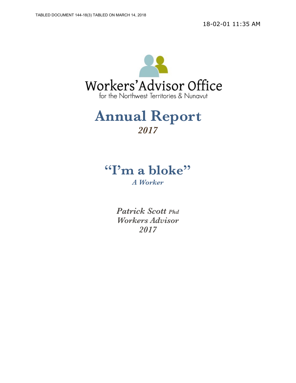

# **Annual Report**  *2017*

# **"I'm a bloke"**

*A Worker* 

*Patrick Scott Phd Workers Advisor 2017*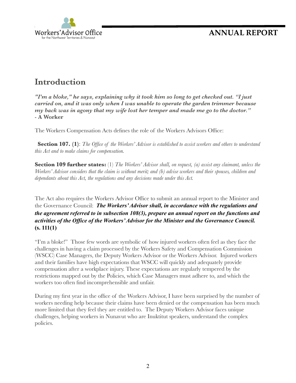

### **Introduction**

*"I'm a bloke," he says, explaining why it took him so long to get checked out. "I just carried on, and it was only when I was unable to operate the garden trimmer because my back was in agony that my wife lost her temper and made me go to the doctor." -* **A Worker**

The Workers Compensation Acts defines the role of the Workers Advisors Office:

 **Section 107. (1)**: *The Office of the Workers' Advisor is established to assist workers and others to understand this Act and to make claims for compensation.*

**Section 109 further states:** (1) *The Workers' Advisor shall, on request, (a) assist any claimant, unless the Workers' Advisor considers that the claim is without merit; and (b) advise workers and their spouses, children and dependants about this Act, the regulations and any decisions made under this Act.* 

The Act also requires the Workers Advisor Office to submit an annual report to the Minister and the Governance Council: *The Workers' Advisor shall, in accordance with the regulations and the agreement referred to in subsection 108(3), prepare an annual report on the functions and activities of the Office of the Workers' Advisor for the Minister and the Governance Council.* **(s. 111(1)**

"I'm a bloke!" Those few words are symbolic of how injured workers often feel as they face the challenges in having a claim processed by the Workers Safety and Compensation Commission (WSCC) Case Managers, the Deputy Workers Advisor or the Workers Advisor. Injured workers and their families have high expectations that WSCC will quickly and adequately provide compensation after a workplace injury. These expectations are regularly tempered by the restrictions mapped out by the Policies, which Case Managers must adhere to, and which the workers too often find incomprehensible and unfair.

During my first year in the office of the Workers Advisor, I have been surprised by the number of workers needing help because their claims have been denied or the compensation has been much more limited that they feel they are entitled to. The Deputy Workers Advisor faces unique challenges, helping workers in Nunavut who are Inuktitut speakers, understand the complex policies.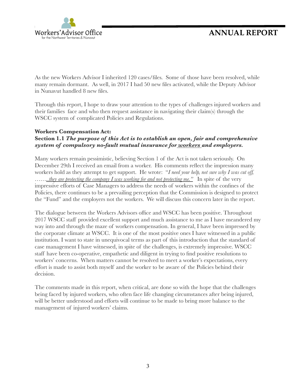

As the new Workers Advisor I inherited 120 cases/files. Some of those have been resolved, while many remain dormant. As well, in 2017 I had 50 new files activated, while the Deputy Advisor in Nunavut handled 8 new files.

Through this report, I hope to draw your attention to the types of challenges injured workers and their families face and who then request assistance in navigating their claim(s) through the WSCC system of complicated Policies and Regulations.

#### **Workers Compensation Act:**

#### **Section 1.1** *The purpose of this Act is to establish an open, fair and comprehensive system of compulsory no-fault mutual insurance for workers and employers.*

Many workers remain pessimistic, believing Section 1 of the Act is not taken seriously. On December 29th I received an email from a worker. His comments reflect the impression many workers hold as they attempt to get support. He wrote: "*I need your help, not sure why I was cut off, ……..they are protecting the company I was working for and not protecting me."* In spite of the very impressive efforts of Case Managers to address the needs of workers within the confines of the Policies, there continues to be a prevailing perception that the Commission is designed to protect the "Fund" and the employers not the workers. We will discuss this concern later in the report.

The dialogue between the Workers Advisors office and WSCC has been positive. Throughout 2017 WSCC staff provided excellent support and much assistance to me as I have meandered my way into and through the maze of workers compensation. In general, I have been impressed by the corporate climate at WSCC. It is one of the most positive ones I have witnessed in a public institution. I want to state in unequivocal terms as part of this introduction that the standard of case management I have witnessed, in spite of the challenges, is extremely impressive. WSCC staff have been co-operative, empathetic and diligent in trying to find positive resolutions to workers' concerns. When matters cannot be resolved to meet a worker's expectations, every effort is made to assist both myself and the worker to be aware of the Policies behind their decision.

The comments made in this report, when critical, are done so with the hope that the challenges being faced by injured workers, who often face life changing circumstances after being injured, will be better understood and efforts will continue to be made to bring more balance to the management of injured workers' claims.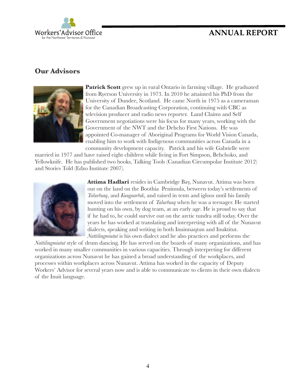## Workers'Advisor Office for the Northwest Territories & Nungvut

### **ANNUAL REPORT**

#### **Our Advisors**



**Patrick Scott** grew up in rural Ontario in farming village. He graduated from Ryerson University in 1973. In 2010 he attainted his PhD from the University of Dundee, Scotland. He came North in 1975 as a cameraman for the Canadian Broadcasting Corporation, continuing with CBC as television producer and radio news reporter. Land Claims and Self Government negotiations were his focus for many years, working with the Government of the NWT and the Dehcho First Nations. He was appointed Co-manager of Aboriginal Programs for World Vision Canada, enabling him to work with Indigenous communities across Canada in a community development capacity. Patrick and his wife Gabrielle were

married in 1977 and have raised eight children while living in Fort Simpson, Behchoko, and Yellowknife. He has published two books, Talking Tools (Canadian Circumpolar Institute 2012) and Stories Told (Edzo Institute 2007).



**Attima Hadlari** resides in Cambridge Bay, Nunavut. Attima was born out on the land on the Boothia Peninsula, between today's settlements of *Talurřuaq*, and *Kuugaarřuk*, and raised in tents and igloos until his family moved into the settlement of *Talurřuaq* when he was a teenager. He started hunting on his own, by dog team, at an early age. He is proud to say that if he had to, he could survive out on the arctic tundra still today. Over the years he has worked at translating and interpreting with all of the Nunavut dialects, speaking and writing in both Inuinnaqtun and Inuktitut. *Nattilingmiutut* is his own dialect and he also practices and performs the

*Nattilingmiutut* style of drum dancing. He has served on the boards of many organizations, and has worked in many smaller communities in various capacities. Through interpreting for different organizations across Nunavut he has gained a broad understanding of the workplaces, and processes within workplaces across Nunavut. Attima has worked in the capacity of Deputy Workers' Advisor for several years now and is able to communicate to clients in their own dialects of the Inuit language.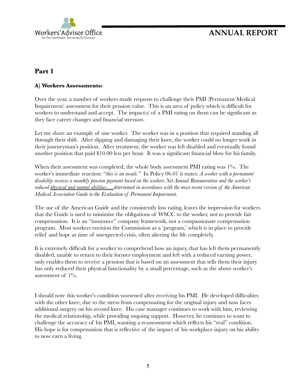

#### **Part 1**

#### **A) Workers Assessments:**

Over the year, a number of workers made requests to challenge their PMI (Permanent Medical Impairment) assessment for their pension value. This is an area of policy which is difficult for workers to understand and accept. The impact(s) of a PMI rating on them can be significant as they face career changes and financial stressors.

Let me share an example of one worker. The worker was in a position that required standing all through their shift. After slipping and damaging their knee, the worker could no longer work in their journeyman's position. After treatment, the worker was left disabled and eventually found another position that paid \$10.00 less per hour. It was a significant financial blow for his family.

When their assessment was completed, the whole body assessment PMI rating was 1%. The worker's immediate reaction: "*this is an insult."* In Policy 06.01 it states: *A worker with a permanent disability receives a monthly pension payment based on the workers Net Annual Remuneration and the worker's reduced physical and mental abilities….determined in accordance with the most recent version of the American Medical Association Guide to the Evaluation of Permanent Impairment.*

The use of the American Guide and the consistently low rating, leaves the impression for workers that the Guide is used to minimize the obligations of WSCC to the worker, not to provide fair compensation. It is an "insurance" company framework, not a compassionate compensation program. Most workers envision the Commission as a 'program,' which is in place to provide relief and hope at time of unexpected crisis, often altering the life completely.

It is extremely difficult for a worker to comprehend how an injury, that has left them permanently disabled, unable to return to their former employment and left with a reduced earning power, only enables them to receive a pension that is based on an assessment that tells them their injury has only reduced their physical functionality by a small percentage, such as the above worker's assessment of  $1\%$ .

I should note this worker's condition worsened after receiving his PMI. He developed difficulties with the other knee, due to the stress from compensating for the original injury and now faces additional surgery on his second knee. His case manager continues to work with him, reviewing the medical relationship, while providing ongoing support. However, he continues to want to challenge the accuracy of his PMI, wanting a reassessment which reflects his "real" condition. His hope is for compensation that is reflective of the impact of his workplace injury on his ability to now earn a living.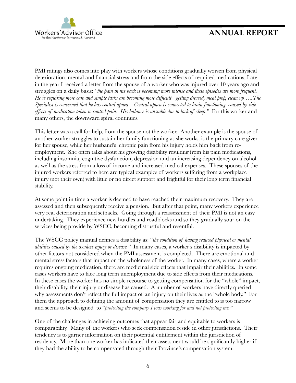

PMI ratings also comes into play with workers whose conditions gradually worsen from physical deterioration, mental and financial stress and from the side effects of required medications. Late in the year I received a letter from the spouse of a worker who was injured over 10 years ago and struggles on a daily basis: *"the pain in his back is becoming more intense and these episodes are more frequent. He is requiring more care and simple tasks are becoming more difficult - getting dressed, meal prep, clean up ….The Specialist is concerned that he has central apnea . Central apnea is connected to brain functioning, caused by side*  effects of medication taken to control pain. His balance is unstable due to lack of sleep." For this worker and many others, the downward spiral continues.

This letter was a call for help, from the spouse not the worker. Another example is the spouse of another worker struggles to sustain her family functioning as she works, is the primary care giver for her spouse, while her husband's chronic pain from his injury holds him back from reemployment. She often talks about his growing disability resulting from his pain medications, including insomnia, cognitive dysfunction, depression and an increasing dependency on alcohol as well as the stress from a loss of income and increased medical expenses. These spouses of the injured workers referred to here are typical examples of workers suffering from a workplace injury (not their own) with little or no direct support and frightful for their long term financial stability.

At some point in time a worker is deemed to have reached their maximum recovery. They are assessed and then subsequently receive a pension. But after that point, many workers experience very real deterioration and setbacks. Going through a reassessment of their PMI is not an easy undertaking. They experience new hurdles and roadblocks and so they gradually sour on the services being provide by WSCC, becoming distrustful and resentful.

The WSCC policy manual defines a disability as: "*the condition of having reduced physical or mental abilities caused by the workers injury or disease."* In many cases, a worker's disability is impacted by other factors not considered when the PMI assessment is completed. There are emotional and mental stress factors that impact on the wholeness of the worker. In many cases, where a worker requires ongoing medication, there are medicinal side effects that impair their abilities. In some cases workers have to face long term unemployment due to side effects from their medications. In these cases the worker has no simple recourse to getting compensation for the "whole" impact, their disability, their injury or disease has caused. A number of workers have directly queried why assessments don't reflect the full impact of an injury on their lives as the "whole body." For them the approach to defining the amount of compensation they are entitled to is too narrow and seems to be designed to "*protecting the company I was working for and not protecting me."*

One of the challenges in achieving outcomes that appear fair and equitable to workers is comparability. Many of the workers who seek compensation reside in other jurisdictions. Their tendency is to garner information on their potential entitlement within the jurisdiction of residency. More than one worker has indicated their assessment would be significantly higher if they had the ability to be compensated through their Province's compensation system.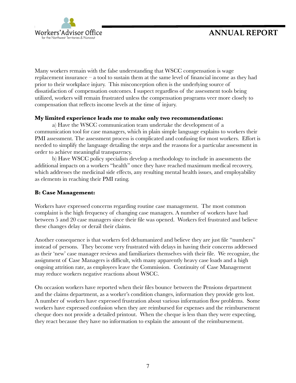

Many workers remain with the false understanding that WSCC compensation is wage replacement insurance  $-$  a tool to sustain them at the same level of financial income as they had prior to their workplace injury. This misconception often is the underlying source of dissatisfaction of compensation outcomes. I suspect regardless of the assessment tools being utilized, workers will remain frustrated unless the compensation programs veer more closely to compensation that reflects income levels at the time of injury.

#### **My limited experience leads me to make only two recommendations:**

a) Have the WSCC communication team undertake the development of a communication tool for case managers, which in plain simple language explains to workers their PMI assessment. The assessment process is complicated and confusing for most workers. Effort is needed to simplify the language detailing the steps and the reasons for a particular assessment in order to achieve meaningful transparency.

b) Have WSCC policy specialists develop a methodology to include in assessments the additional impacts on a workers "health" once they have reached maximum medical recovery, which addresses the medicinal side effects, any resulting mental health issues, and employability as elements in reaching their PMI rating.

#### **B: Case Management:**

Workers have expressed concerns regarding routine case management. The most common complaint is the high frequency of changing case managers. A number of workers have had between 5 and 20 case managers since their file was opened. Workers feel frustrated and believe these changes delay or derail their claims.

Another consequence is that workers feel dehumanized and believe they are just file "numbers" instead of persons. They become very frustrated with delays in having their concerns addressed as their 'new' case manager reviews and familiarizes themselves with their file. We recognize, the assignment of Case Managers is difficult, with many apparently heavy case loads and a high ongoing attrition rate, as employees leave the Commission. Continuity of Case Management may reduce workers negative reactions about WSCC.

On occasion workers have reported when their files bounce between the Pensions department and the claims department, as a worker's condition changes, information they provide gets lost. A number of workers have expressed frustration about various information flow problems. Some workers have expressed confusion when they are reimbursed for expenses and the reimbursement cheque does not provide a detailed printout. When the cheque is less than they were expecting, they react because they have no information to explain the amount of the reimbursement.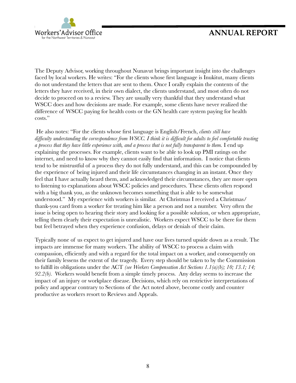

The Deputy Advisor, working throughout Nunavut brings important insight into the challenges faced by local workers. He writes: "For the clients whose first language is Inukitut, many clients do not understand the letters that are sent to them. Once I orally explain the contents of the letters they have received, in their own dialect, the clients understand, and most often do not decide to proceed on to a review. They are usually very thankful that they understand what WSCC does and how decisions are made. For example, some clients have never realized the difference of WSCC paying for health costs or the GN health care system paying for health costs."

 He also notes: "For the clients whose first language is English/French, *clients still have difficulty understanding the correspondence from WSCC. I think it is difficult for adults to feel comfortable trusting a process that they have little experience with, and a process that is not fully transparent to them.* I end up explaining the processes. For example, clients want to be able to look up PMI ratings on the internet, and need to know why they cannot easily find that information. I notice that clients tend to be mistrustful of a process they do not fully understand, and this can be compounded by the experience of being injured and their life circumstances changing in an instant. Once they feel that I have actually heard them, and acknowledged their circumstances, they are more open to listening to explanations about WSCC policies and procedures. These clients often respond with a big thank you, as the unknown becomes something that is able to be somewhat understood." My experience with workers is similar. At Christmas I received a Christmas/ thank-you card from a worker for treating him like a person and not a number. Very often the issue is being open to hearing their story and looking for a possible solution, or when appropriate, telling them clearly their expectation is unrealistic. Workers expect WSCC to be there for them but feel betrayed when they experience confusion, delays or denials of their claim.

Typically none of us expect to get injured and have our lives turned upside down as a result. The impacts are immense for many workers. The ability of WSCC to process a claim with compassion, efficiently and with a regard for the total impact on a worker, and consequently on their family lessens the extent of the tragedy. Every step should be taken to by the Commission to fulfill its obligations under the ACT *(see Workers Compensation Act Sections 1.1(a)(b); 10; 13.1; 14; 92.2(b).* Workers would benefit from a simple timely process. Any delay seems to increase the impact of an injury or workplace disease. Decisions, which rely on restrictive interpretations of policy and appear contrary to Sections of the Act noted above, become costly and counter productive as workers resort to Reviews and Appeals.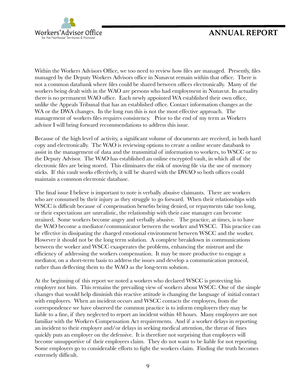

Within the Workers Advisors Office, we too need to review how files are managed. Presently, files managed by the Deputy Workers Advisors office in Nunavut remain within that office. There is not a common databank where files could be shared between offices electronically. Many of the workers being dealt with in the WAO are persons who had employment in Nunavut. In actuality there is no permanent WAO office. Each newly appointed WA established their own office, unlike the Appeals Tribunal that has an established office. Contact information changes as the WA or the DWA changes. In the long run this is not the most effective approach. The management of workers files requires consistency. Prior to the end of my term as Workers advisor I will bring forward recommendations to address this issue.

Because of the high level of activity, a significant volume of documents are received, in both hard copy and electronically. The WAO is reviewing options to create a online secure databank to assist in the management of data and the transmittal of information to workers, to WSCC or to the Deputy Advisor. The WAO has established an online encrypted vault, in which all of the electronic files are being stored. This eliminates the risk of moving file via the use of memory sticks. If this vault works effectively, it will be shared with the DWAO so both offices could maintain a common electronic database.

The final issue I believe is important to note is verbally abusive claimants. There are workers who are consumed by their injury as they struggle to go forward. When their relationships with WSCC is difficult because of compensation benefits being denied, or repayments take too long, or their expectations are unrealistic, the relationship with their case manager can become strained. Some workers become angry and verbally abusive. The practice, at times, is to have the WAO become a mediator/communicator between the worker and WSCC. This practice can be effective in dissipating the charged emotional environment between WSCC and the worker. However it should not be the long term solution. A complete breakdown in communications between the worker and WSCC exasperates the problems, enhancing the mistrust and the efficiency of addressing the workers compensation. It may be more productive to engage a mediator, on a short-term basis to address the issues and develop a communication protocol, rather than deflecting them to the WAO as the long-term solution.

At the beginning of this report we noted a workers who declared WSCC is protecting his employer not him. This remains the prevailing view of workers about WSCC. One of the simple changes that would help diminish this reactive attitude is changing the language of initial contact with employers. When an incident occurs and WSCC contacts the employers, from the correspondence we have observed the common practice is to inform employers they may be liable to a fine, if they neglected to report an incident within 48 hours. Many employers are not familiar with the Workers Compensation Act requirements. And if a worker delays in reporting an incident to their employer and/or delays in seeking medical attention, the threat of fines quickly puts an employer on the defensive. It is therefore not surprising that employers will become unsupportive of their employees claim. They do not want to be liable for not reporting. Some employers go to considerable efforts to fight the workers claim. Finding the truth becomes extremely difficult.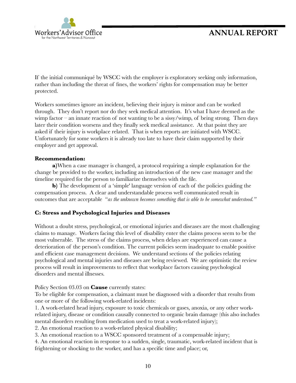

If the initial communiqué by WSCC with the employer is exploratory seeking only information, rather than including the threat of fines, the workers' rights for compensation may be better protected.

Workers sometimes ignore an incident, believing their injury is minor and can be worked through. They don't report nor do they seek medical attention. It's what I have deemed as the wimp factor – an innate reaction of not wanting to be a sissy/wimp, of being strong. Then days later their condition worsens and they finally seek medical assistance. At that point they are asked if their injury is workplace related. That is when reports are initiated with WSCC. Unfortunately for some workers it is already too late to have their claim supported by their employer and get approval.

#### **Recommendation:**

**a)**When a case manager is changed, a protocol requiring a simple explanation for the change be provided to the worker, including an introduction of the new case manager and the timeline required for the person to familiarize themselves with the file.

**b**) The development of a 'simple' language version of each of the policies guiding the compensation process. A clear and understandable process well communicated result in outcomes that are acceptable "*as the unknown becomes something that is able to be somewhat understood."* 

#### **C: Stress and Psychological Injuries and Diseases**

Without a doubt stress, psychological, or emotional injuries and diseases are the most challenging claims to manage. Workers facing this level of disability enter the claims process seem to be the most vulnerable. The stress of the claims process, when delays are experienced can cause a deterioration of the person's condition. The current policies seem inadequate to enable positive and efficient case management decisions. We understand sections of the policies relating psychological and mental injuries and diseases are being reviewed. We are optimistic the review process will result in improvements to reflect that workplace factors causing psychological disorders and mental illnesses.

Policy Section 03.03 on **Cause** currently states:

To be eligible for compensation, a claimant must be diagnosed with a disorder that results from one or more of the following work-related incidents:

1. A work-related head injury, exposure to toxic chemicals or gases, anoxia, or any other workrelated injury, disease or condition causally connected to organic brain damage (this also includes mental disorders resulting from medication used to treat a work-related injury);

2. An emotional reaction to a work-related physical disability;

3. An emotional reaction to a WSCC sponsored treatment of a compensable injury;

4. An emotional reaction in response to a sudden, single, traumatic, work-related incident that is frightening or shocking to the worker, and has a specific time and place; or,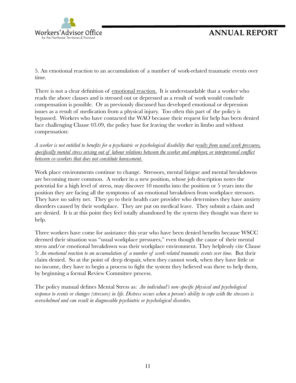

5. An emotional reaction to an accumulation of a number of work-related traumatic events over time.

There is not a clear definition of emotional reaction. It is understandable that a worker who reads the above clauses and is stressed out or depressed as a result of work would conclude compensation is possible. Or as previously discussed has developed emotional or depression issues as a result of medication from a physical injury. Too often this part of the policy is bypassed. Workers who have contacted the WAO because their request for help has been denied face challenging Clause 03.09, the policy base for leaving the worker in limbo and without compensation:

*A worker is not entitled to benefits for a psychiatric or psychological disability that results from usual work pressures, specifically mental stress arising out of labour relations between the worker and employer, or interpersonal conflict between co-workers that does not constitute harassment.* 

Work place environments continue to change. Stressors, mental fatigue and mental breakdowns are becoming more common. A worker in a new position, whose job description notes the potential for a high level of stress, may discover 10 months into the position or 5 years into the position they are facing all the symptoms of an emotional breakdown from workplace stressors. They have no safety net. They go to their health care provider who determines they have anxiety disorders caused by their workplace. They are put on medical leave. They submit a claim and are denied. It is at this point they feel totally abandoned by the system they thought was there to help.

Three workers have come for assistance this year who have been denied benefits because WSCC deemed their situation was "usual workplace pressures," even though the cause of their mental stress and/or emotional breakdown was their workplace environment. They helplessly cite Clause 5: *An emotional reaction to an accumulation of a number of work-related traumatic events over time.* But their claim denied. So at the point of deep despair, when they cannot work, when they have little or no income, they have to begin a process to fight the system they believed was there to help them, by beginning a formal Review Committee process.

The policy manual defines Mental Stress as: *An individual's non-specific physical and psychological response to events or changes (stressors) in life. Distress occurs when a person's ability to cope with the stressors is overwhelmed and can result in diagnosable psychiatric or psychological disorders.*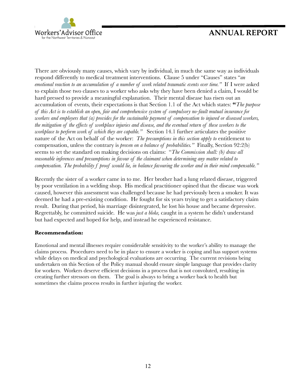

There are obviously many causes, which vary by individual, in much the same way as individuals respond differently to medical treatment interventions. Clause 5 under "Causes" states "*an emotional reaction to an accumulation of a number of work related traumatic events over time."* If I were asked to explain those two clauses to a worker who asks why they have been denied a claim, I would be hard pressed to provide a meaningful explanation. Their mental disease has risen out an accumulation of events, their expectations is that Section 1.1 of the Act which states: **"***The purpose of this Act is to establish an open, fair and comprehensive system of compulsory no-fault mutual insurance for workers and employers that (a) provides for the sustainable payment of compensation to injured or diseased workers, the mitigation of the effects of workplace injuries and disease, and the eventual return of these workers to the workplace to perform work of which they are capable."* Section 14.1 further articulates the positive nature of the Act on behalf of the worker: *The presumptions in this section apply to* entitlement to compensation, unless the contrary is *proven on a balance of probabilities."* Finally, Section 92:2(b) seems to set the standard on making decisions on claims: "*The Commission shall: (b) draw all reasonable inferences and presumptions in favour of the claimant when determining any matter related to compensation. The probability f proof would lie, in balance favouring the worker and in their mind compensable."* 

Recently the sister of a worker came in to me. Her brother had a lung related disease, triggered by poor ventilation in a welding shop. His medical practitioner opined that the disease was work caused, however this assessment was challenged because he had previously been a smoker. It was deemed he had a pre-existing condition. He fought for six years trying to get a satisfactory claim result. During that period, his marriage disintegrated, he lost his house and became depressive. Regrettably, he committed suicide. He was *just a bloke,* caught in a system he didn't understand but had expected and hoped for help, and instead he experienced resistance.

#### **Recommendation:**

Emotional and mental illnesses require considerable sensitivity to the worker's ability to manage the claims process. Procedures need to be in place to ensure a worker is coping and has support systems while delays on medical and psychological evaluations are occurring. The current revisions being undertaken on this Section of the Policy manual should ensure simple language that provides clarity for workers. Workers deserve efficient decisions in a process that is not convoluted, resulting in creating further stressors on them. The goal is always to bring a worker back to health but sometimes the claims process results in further injuring the worker.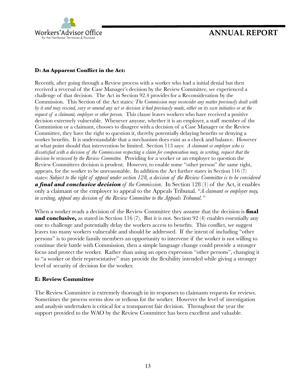

#### **D: An Apparent Conflict in the Act:**

Recently, after going through a Review process with a worker who had a initial denial but then received a reversal of the Case Manager's decision by the Review Committee, we experienced a challenge of that decision. The Act in Section 92.4 provides for a Reconsideration by the Commission. This Section of the Act states: *The Commission may reconsider any matter previously dealt with by it and may rescind, vary or amend any act or decision it had previously made, either on its own initiative or at the request of a claimant, employer or other person.* This clause leaves workers who have received a positive decision extremely vulnerable. Whenever anyone, whether it is an employer, a staff member of the Commission or a claimant, chooses to disagree with a decision of a Case Manager or the Review Committee, they have the right to question it, thereby potentially delaying benefits or denying a worker benefits. It is understandable that a mechanism does exist as a check and balance. However at what point should that intervention be limited. Section 113 says: *A claimant or employer who is dissatisfied with a decision of the Commission respecting a claim for compensation may, in writing, request that the decision be reviewed by the Review Committee.* Providing for a worker or an employer to question the Review Committees decision is prudent. However, to enable some "other person" the same right, appears, for the worker to be unreasonable. In addition the Act further states in Section 116 (7) states: *Subject to the right of appeal under section 128, a decision of the Review Committee is to be considered a final and conclusive decision of the Commission.* In Section 128 (1) of the Act, it enables only a claimant or the employer to appeal to the Appeals Tribunal. "*A claimant or employer may, in writing, appeal any decision of the Review Committee to the Appeals Tribunal."* 

When a worker reads a decision of the Review Committee they assume that the decision is **final and conclusive,** as stated in Section 116 (7). But it is not. Section 92 (4) enables essentially any one to challenge and potentially delay the workers access to benefits. This conflict, we suggest leaves too many workers vulnerable and should be addressed. If the intent of including "other persons" is to provide family members an opportunity to intervene if the worker is not willing to continue their battle with Commission, then a simple language change could provide a stronger focus and protect the worker. Rather than using an open expression "other persons", changing it to "a worker or their representative" may provide the flexibility intended while giving a stronger level of security of decision for the worker.

#### **E: Review Committee**

The Review Committee is extremely thorough in its responses to claimants requests for reviews. Sometimes the process seems slow or tedious for the worker. However the level of investigation and analysis undertaken is critical for a transparent fair decision. Throughout the year the support provided to the WAO by the Review Committee has been excellent and valuable.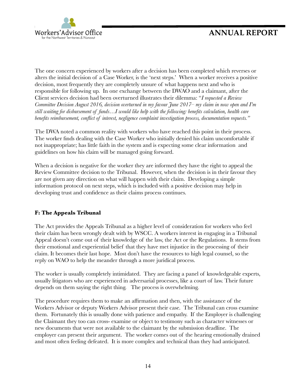

The one concern experienced by workers after a decision has been completed which reverses or alters the initial decision of a Case Worker, is the 'next steps.' When a worker receives a positive decision, most frequently they are completely unsure of what happens next and who is responsible for following up. In one exchange between the DWAO and a claimant, after the Client services decision had been overturned illustrates their dilemma: "*I requested a Review Committee Decision August 2016, decision overturned in my favour June 2017– my claim in now open and I'm still waiting for disbursement of funds…I would like help with the following: benefits calculation, health care benefits reimbursement, conflict of interest, negligence complaint investigation process, documentation requests."* 

The DWA noted a common reality with workers who have reached this point in their process. The worker finds dealing with the Case Worker who initially denied his claim uncomfortable if not inappropriate; has little faith in the system and is expecting some clear information and guidelines on how his claim will be managed going forward.

When a decision is negative for the worker they are informed they have the right to appeal the Review Committee decision to the Tribunal. However, when the decision is in their favour they are not given any direction on what will happen with their claim. Developing a simple information protocol on next steps, which is included with a positive decision may help in developing trust and confidence as their claims process continues.

#### **F: The Appeals Tribunal**

The Act provides the Appeals Tribunal as a higher level of consideration for workers who feel their claim has been wrongly dealt with by WSCC. A workers interest in engaging in a Tribunal Appeal doesn't come out of their knowledge of the law, the Act or the Regulations. It stems from their emotional and experiential belief that they have met injustice in the processing of their claim. It becomes their last hope. Most don't have the resources to high legal counsel, so the reply on WAO to help the meander through a more juridical process.

The worker is usually completely intimidated. They are facing a panel of knowledgeable experts, usually litigators who are experienced in adversarial processes, like a court of law. Their future depends on them saying the right thing. The process is overwhelming.

The procedure requires them to make an affirmation and then, with the assistance of the Workers Advisor or deputy Workers Advisor present their case. The Tribunal can cross examine them. Fortunately this is usually done with patience and empathy. If the Employer is challenging the Claimant they too can cross- examine or object to testimony such as character witnesses or new documents that were not available to the claimant by the submission deadline. The employer can present their argument. The worker comes out of the hearing emotionally drained and most often feeling defeated. It is more complex and technical than they had anticipated.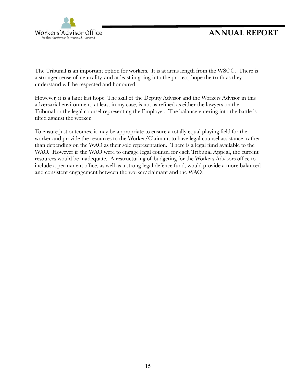

The Tribunal is an important option for workers. It is at arms length from the WSCC. There is a stronger sense of neutrality, and at least in going into the process, hope the truth as they understand will be respected and honoured.

However, it is a faint last hope. The skill of the Deputy Advisor and the Workers Advisor in this adversarial environment, at least in my case, is not as refined as either the lawyers on the Tribunal or the legal counsel representing the Employer. The balance entering into the battle is tilted against the worker.

To ensure just outcomes, it may be appropriate to ensure a totally equal playing field for the worker and provide the resources to the Worker/Claimant to have legal counsel assistance, rather than depending on the WAO as their sole representation. There is a legal fund available to the WAO. However if the WAO were to engage legal counsel for each Tribunal Appeal, the current resources would be inadequate. A restructuring of budgeting for the Workers Advisors office to include a permanent office, as well as a strong legal defence fund, would provide a more balanced and consistent engagement between the worker/claimant and the WAO.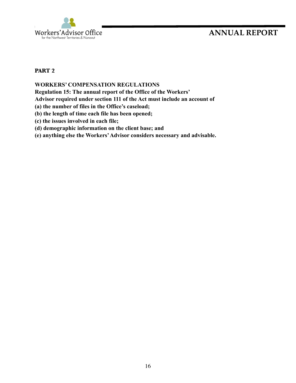

#### **PART 2**

#### **WORKERS' COMPENSATION REGULATIONS**

**Regulation 15: The annual report of the Office of the Workers'** 

**Advisor required under section 111 of the Act must include an account of** 

**(a) the number of files in the Office's caseload;** 

- **(b) the length of time each file has been opened;**
- **(c) the issues involved in each file;**
- **(d) demographic information on the client base; and**
- **(e) anything else the Workers' Advisor considers necessary and advisable.**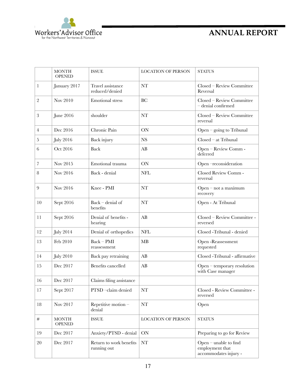

|                | <b>MONTH</b><br><b>OPENED</b> | <b>ISSUE</b>                           | <b>LOCATION OF PERSON</b>    | <b>STATUS</b>                                                       |
|----------------|-------------------------------|----------------------------------------|------------------------------|---------------------------------------------------------------------|
| 1              | January 2017                  | Travel assistance<br>reduced/denied    | NT                           | Closed - Review Committee<br>Reversal                               |
| $\overline{2}$ | Nov 2010                      | <b>Emotional</b> stress                | BC                           | Closed - Review Committee<br>- denial confirmed                     |
| $\,3$          | June 2016                     | shoulder                               | <b>NT</b>                    | Closed - Review Committee<br>reversal                               |
| $\overline{4}$ | Dec 2016                      | Chronic Pain                           | ON                           | Open - going to Tribunal                                            |
| 5              | <b>July 2016</b>              | Back injury                            | $Closed - at Tribunal$<br>NS |                                                                     |
| 6              | Oct 2016                      | <b>Back</b>                            | AB                           | Open - Review Comm -<br>deferred                                    |
| 7              | Nov 2015                      | Emotional trauma                       | ON                           | Open-reconsideration                                                |
| 8              | Nov 2016                      | Back - denial                          | <b>NFL</b>                   | Closed Review Comm -<br>reversal                                    |
| 9              | Nov 2016                      | Knee - PMI                             | <b>NT</b>                    | $Open - not a maximum$<br>recovery                                  |
| 10             | Sept 2016                     | $Back - denial of$<br>benefits         | <b>NT</b>                    | Open - At Tribunal                                                  |
| 11             | Sept 2016                     | Denial of benefits -<br>hearing        | AB                           | Closed - Review Committee -<br>reversed                             |
| 12             | <b>July 2014</b>              | Denial of orthopedics                  | <b>NFL</b>                   | Closed -Tribunal - denied                                           |
| 13             | Feb 2010                      | $Back - PMI$<br>reassessment           | MB                           | Open -Reassessment<br>requested                                     |
| 14             | <b>July 2010</b>              | Back pay retraining                    | AB                           | Closed -Tribunal - affirmative                                      |
| 15             | Dec 2017                      | Benefits cancelled                     | AB                           | Open – temporary resolution<br>with Case manager                    |
| 16             | Dec 2017                      | Claims filing assistance               |                              |                                                                     |
| 17             | Sept 2017                     | PTSD-claim denied                      | NT                           | Closed - Review Committee -<br>reversed                             |
| $18\,$         | Nov 2017                      | Repetitive motion -<br>denial          | $\rm{NT}$                    | Open                                                                |
| #              | <b>MONTH</b><br><b>OPENED</b> | <b>ISSUE</b>                           | <b>LOCATION OF PERSON</b>    | <b>STATUS</b>                                                       |
| 19             | Dec 2017                      | Anxiety/PTSD - denial                  | <b>ON</b>                    | Preparing to go for Review                                          |
| $20\,$         | Dec 2017                      | Return to work benefits<br>running out | NT                           | Open $-$ unable to find<br>employment that<br>accommodates injury - |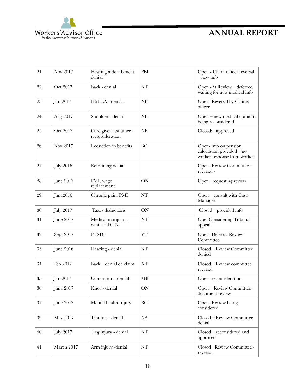

| 21     | Nov 2017         | Hearing aide $-$ benefit<br>denial         | PEI                                                | Open - Claim officer reversal<br>$-$ new info                                    |
|--------|------------------|--------------------------------------------|----------------------------------------------------|----------------------------------------------------------------------------------|
| 22     | Oct 2017         | Back - denial                              | <b>NT</b>                                          | Open -At Review - deferred<br>waiting for new medical info                       |
| 23     | Jan 2017         | HMILA - denial                             | NB                                                 | Open - Reversal by Claims<br>officer                                             |
| 24     | Aug 2017         | Shoulder - denial                          | NB                                                 | Open - new medical opinion-<br>being reconsidered                                |
| 25     | Oct 2017         | Care giver assistance -<br>reconsideration | NB                                                 | Closed: - approved                                                               |
| 26     | Nov 2017         | Reduction in benefits                      | BC                                                 | Open-info on pension<br>calculation provided - no<br>worker response from worker |
| 27     | <b>July 2016</b> | Retraining denial                          |                                                    | Open-Review Committee -<br>reversal-                                             |
| 28     | June 2017        | PMI, wage<br>replacement                   | ON                                                 | Open -requesting review                                                          |
| 29     | June2016         | Chronic pain, PMI                          | NT                                                 | Open - consult with Case<br>Manager                                              |
| $30\,$ | <b>July 2017</b> | Taxes deductions                           | ON                                                 | $Closed$ – provided info                                                         |
| 31     | June 2017        | Medical marijuana<br>$denial - D.I.N.$     | NT                                                 | OpenConsidering Tribunal<br>appeal                                               |
| 32     | Sept 2017        | PTSD-                                      | YT                                                 | Open- Deferral Review<br>Committee                                               |
| 33     | June 2016        | Hearing - denial                           | <b>NT</b>                                          | Closed - Review Committee<br>denied                                              |
| 34     | Feb 2017         | Back – denial of claim                     | <b>NT</b>                                          | Closed - Review committee<br>reversal                                            |
| 35     | Jan 2017         | Concussion - denial                        | <b>MB</b>                                          | Open-reconsideration                                                             |
| 36     | June 2017        | Knee - denial                              | ON                                                 | Open - Review Committee -<br>document review                                     |
| 37     | June 2017        | Mental health Injury                       | <b>BC</b>                                          | Open-Review being<br>considered                                                  |
| $39\,$ | May 2017         | Tinnitus - denial                          | $_{\rm NS}$<br>Closed - Review Committee<br>denial |                                                                                  |
| 40     | <b>July 2017</b> | Leg injury - denial                        | Closed – reconsidered and<br>NT<br>approved        |                                                                                  |
| 41     | March 2017       | Arm injury -denial                         | NT                                                 | Closed -Review Committee -<br>reversal                                           |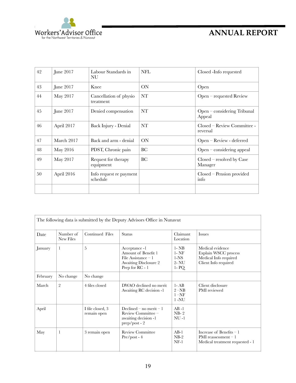

| 42 | June 2017  | Labour Standards in<br>NU           | <b>NFL</b> | Closed -Info requested                   |
|----|------------|-------------------------------------|------------|------------------------------------------|
| 43 | June 2017  | Knee                                | ON         | Open                                     |
| 44 | May 2017   | Cancellation of physio<br>treatment | NT         | Open – requested Review                  |
| 45 | June 2017  | Denied compensation                 | <b>NT</b>  | Open - considering Tribunal<br>Appeal    |
| 46 | April 2017 | Back Injury - Denial                | NT         | Closed – Review Committee -<br>reversal  |
| 47 | March 2017 | Back and arm - denial               | ON         | Open – Review - deferred                 |
| 48 | May 2016   | PDST, Chronic pain                  | BC         | $Open$ – considering appeal              |
| 49 | May 2017   | Request for therapy<br>equipment    | BC         | $Closed$ – resolved by $Case$<br>Manager |
| 50 | April 2016 | Info request re payment<br>schedule |            | $Closed$ – Pension provided<br>info      |
|    |            |                                     |            |                                          |

| The following data is submitted by the Deputy Advisors Office in Nunavut |                        |                                 |                                                                                                                 |                                                        |                                                                                           |
|--------------------------------------------------------------------------|------------------------|---------------------------------|-----------------------------------------------------------------------------------------------------------------|--------------------------------------------------------|-------------------------------------------------------------------------------------------|
| Date                                                                     | Number of<br>New Files | Continued Files                 | <b>Status</b>                                                                                                   | Claimant<br>Location                                   | Issues                                                                                    |
| January                                                                  | 1                      | 5                               | Acceptance -1<br>Amount of Benefit 1<br>File Assistance $-1$<br><b>Awaiting Disclosure 2</b><br>Prep for RC - 1 | $1 - NB$<br>$1 - NF$<br>$1-NS$<br>$2$ - NU<br>$1 - PQ$ | Medical evidence<br>Explain WSCC process<br>Medical Info required<br>Client Info required |
| February                                                                 | No change              | No change                       |                                                                                                                 |                                                        |                                                                                           |
| March                                                                    | $\overline{2}$         | 4 files closed                  | DWAO declined no merit.<br>Awaiting RC decision -1                                                              | $1 - AB$<br>$2-NB$<br>$1 - NF$<br>$1 - NU$             | Client disclosure<br>PMI reviewed                                                         |
| April                                                                    |                        | I file closed, 3<br>remain open | Declined – no merit – 1<br>Review Committee -<br>awaiting decision -1<br>prep/post - 2                          | $AB -1$<br>$NB-2$<br>$NU-1$                            |                                                                                           |
| May                                                                      | 1                      | 3 remain open                   | <b>Review Committee</b><br>$Pre / post - 4$                                                                     | $AB-1$<br>$NB-2$<br>$NF-1$                             | Increase of Benefits $-1$<br>PMI reassessment $-1$<br>Medical treatment requested - 1     |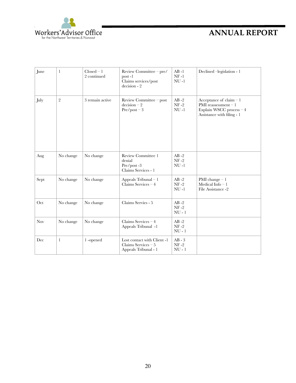

| June       | $\mathbf{1}$   | $Closed - 1$<br>2 continued | Review Committee - pre/<br>$post -1$<br>Claims services/post<br>decision - 2 | $AB -1$<br>$NF-1$<br>$NU -1$   | Declined -legislation - 1                                                                                   |
|------------|----------------|-----------------------------|------------------------------------------------------------------------------|--------------------------------|-------------------------------------------------------------------------------------------------------------|
| July       | $\overline{2}$ | 3 remain active             | Review Committee – post<br>$decision - 2$<br>$Pre / post - 3$                | $AB - 2$<br>$NF-2$<br>$NU-1$   | Acceptance of claim $-1$<br>PMI reassessment $-1$<br>Explain WSCC process - 4<br>Assistance with filing - 1 |
| Aug        | No change      | No change                   | Review Committee 1<br>denial<br>Pre/post-3<br>Claims Services - 1            | $AB - 2$<br>$NF-2$<br>$NU -1$  |                                                                                                             |
| Sept       | No change      | No change                   | Appeals Tribunal - 1<br>Claims Services $-4$                                 | $AB - 2$<br>$NF-2$<br>$NU -1$  | PMI change $-1$<br>Medical Info $-1$<br>File Assistance -2                                                  |
| Oct        | No change      | No change                   | Claims Servies - 5                                                           | $AB - 2$<br>$NF-2$<br>$NU - 1$ |                                                                                                             |
| <b>Nov</b> | No change      | No change                   | Claims Services $-4$<br>Appeals Tribunal -1                                  | $AB - 2$<br>$NF-2$<br>$NU - 1$ |                                                                                                             |
| Dec        | $\mathbf{1}$   | 1-opened                    | Lost contact with Client -1<br>Claims Services $-5$<br>Appeals Tribunal - 1  | $AB - 3$<br>$NF-2$<br>$NU - 1$ |                                                                                                             |